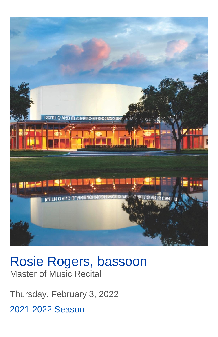

# Rosie Rogers, bassoon Master of Music Recital

Thursday, February 3, 2022 2021-2022 Season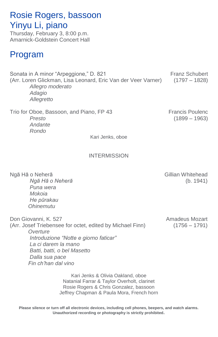### Rosie Rogers, bassoon Yinyu Li, piano

Thursday, February 3, 8:00 p.m. Amarnick-Goldstein Concert Hall

### Program

Sonata in A minor "Arpeggione," D. 821 Franz Schubert (Arr. Loren Glickman, Lisa Leonard, Eric Van der Veer Varner) (1797 – 1828) *Allegro moderato Adagio Allegretto*

Trio for Oboe, Bassoon, and Piano, FP 43 Francis Poulenc *Presto* (1899 – 1963) *Andante Rondo*

Kari Jenks, oboe

#### INTERMISSION

 *Puna wera Mokoia He pūrakau Ohinemutu*

Ngā Hā o Neherā **Gillian Whitehead** *Ngā Hā o Neherā* (b. 1941)

Don Giovanni, K. 527 Amadeus Mozart (Arr. Josef Triebensee for octet, edited by Michael Finn) (1756 – 1791) *Overture Introduzione "Notte e giorno faticar" La ci darem la mano Batti, batti, o bel Masetto Dalla sua pace Fin ch'han dal vino*

> Kari Jenks & Olivia Oakland, oboe Natanial Farrar & Taylor Overholt, clarinet Rosie Rogers & Chris Gonzalez, bassoon Jeffrey Chapman & Paula Mora, French horn

**Please silence or turn off all electronic devices, including cell phones, beepers, and watch alarms. Unauthorized recording or photography is strictly prohibited.**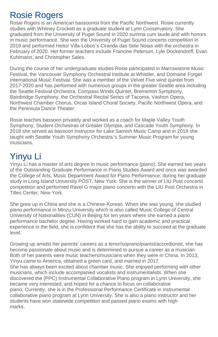### Rosie Rogers

Rosie Rogers is an American bassoonist from the Pacific Northwest. Rosie currently studies with Whitney Crockett as a graduate student at Lynn Conservatory. She graduated from the University of Puget Sound in 2020 summa cum laude and with honors in music performance. She won the University of Puget Sound concerto competition in 2019 and performed Heitor Villa-Lobos's Ciranda das Sete Notas with the orchestra in February of 2020. Her former teachers include Francine Peterson, Lyle Dockendorff, Evan Kuhlmann, and Christopher Sales.

During the course of her undergraduate studies Rosie participated in Marrowstone Music Festival, the Vancouver Symphony Orchestral Institute at Whistler, and Domaine Forget International Music Festival. She was a member of the Velvet Five wind quintet from 2017-2020 and has performed with numerous groups in the greater Seattle area including the Seattle Festival Orchestra, Compass Winds Quintet, Bremerton Symphony, Bainbridge Symphony, the Orchestral Recital Series of Tacoma, Vashon Opera, Northwest Chamber Chorus, Orcas Island Choral Society, Pacific Northwest Opera, and the Peninsula Dance Theater.

Rosie teaches bassoon privately and worked as a coach for Maple Valley Youth Symphony, Student Orchestras of Greater Olympia, and Cascade Youth Symphony. In 2018 she served as bassoon instructor for Lake Samish Music Camp and in 2019 she taught with Seattle Youth Symphony Orchestra's Summer Music Program for young musicians.

## Yinyu Li

Yinyu Li has a master of arts degree in music performance (piano). She earned two years of the Outstanding Graduate Performance in Piano Studies Award and once was awarded the College of Arts, Music Department Award for Piano Performance; during her graduate study in Long Island University POST, New York. She is the winner of LIU Post concerto competition and performed Ravel G major piano concerto with the LIU Post Orchestra in Tilles Center, New York.

She grew up in China and she is a Chinese-Korean. When she was young, she studied piano performance in Minzu University which is also called Music College of Central University of Nationalities (CUN) in Beijing for ten years where she earned a piano performance bachelor degree. Having worked hard to gain academic and practical experience in the field, she is confident that she has the ability to succeed at the graduate level.

Growing up amidst her parents' careers as a tenor/soprano/pianist/accordionist, she has become passionate about music and is determined to pursue a career as a musician. Both of her parents were music teachers/musicians when they were in China. In 2013, Yinyu came to America, obtained a green card, and married in 2017. She has always been excited about chamber music. She enjoyed performing with other musicians, which include accompanied vocalists and instrumentalists. When she discovered the (PPC) Instrumental Collaborative Piano program in Lynn University, she became very interested, and hoped for a chance to focus on collaborative piano. Currently, she is in the Professional Performance Certificate in instrumental collaborative piano program at Lynn University. She is also a piano instructor and her students have won statewide competition and passed piano exams with high marks.